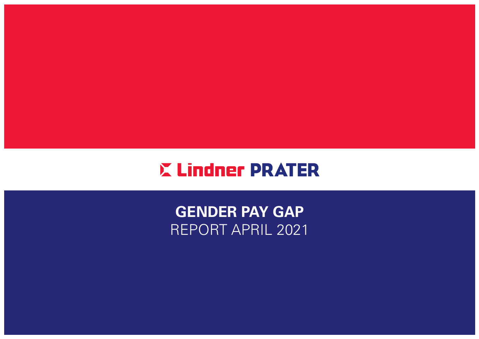

GENDER PAY GAP REPORT APRIL 2021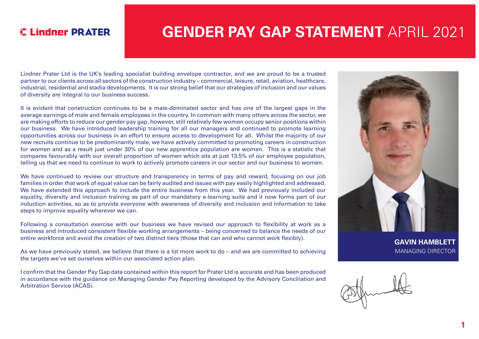### **E Lindner PRATER**

## GENDER PAY GAP STATEMENT APRIL 2021

Lindner Prater Ltd is the UK's leading specialist building envelope contractor, and we are proud to be a trusted partner to our clients across all sectors of the construction industry – commercial, leisure, retail, aviation, healthcare, industrial, residential and stadia developments. It is our strong belief that our strategies of inclusion and our values of diversity are integral to our business success.

It is evident that construction continues to be a male-dominated sector and has one of the largest gaps in the average earnings of male and female employees in the country. In common with many others across the sector, we are making efforts to reduce our gender pay gap, however, still relatively few women occupy senior positions within our business. We have introduced leadership training for all our managers and continued to promote learning opportunities across our business in an effort to ensure access to development for all. Whilst the majority of our new recruits continue to be predominantly male, we have actively committed to promoting careers in construction for women and as a result just under 30% of our new apprentice population are women. This is a statistic that compares favourably with our overall proportion of women which sits at just 13.5% of our employee population, telling us that we need to continue to work to actively promote careers in our sector and our business to women.

We have continued to review our structure and transparency in terms of pay and reward, focusing on our job families in order that work of equal value can be fairly audited and issues with pay easily highlighted and addressed. We have extended this approach to include the entire business from this year. We had previously included our equality, diversity and inclusion training as part of our mandatory e-learning suite and it now forms part of our induction activities, so as to provide everyone with awareness of diversity and inclusion and information to take steps to improve equality wherever we can.

Following a consultation exercise with our business we have revised our approach to flexibility at work as a business and introduced consistent flexible working arrangements – being concerned to balance the needs of our entire workforce and avoid the creation of two distinct tiers (those that can and who cannot work flexibly).

As we have previously stated, we believe that there is a lot more work to do – and we are committed to achieving the targets we've set ourselves within our associated action plan.

I confirm that the Gender Pay Gap data contained within this report for Prater Ltd is accurate and has been produced in accordance with the guidance on Managing Gender Pay Reporting developed by the Advisory Conciliation and Arbitration Service (ACAS).



GAVIN HAMBLETT MANAGING DIRECTOR